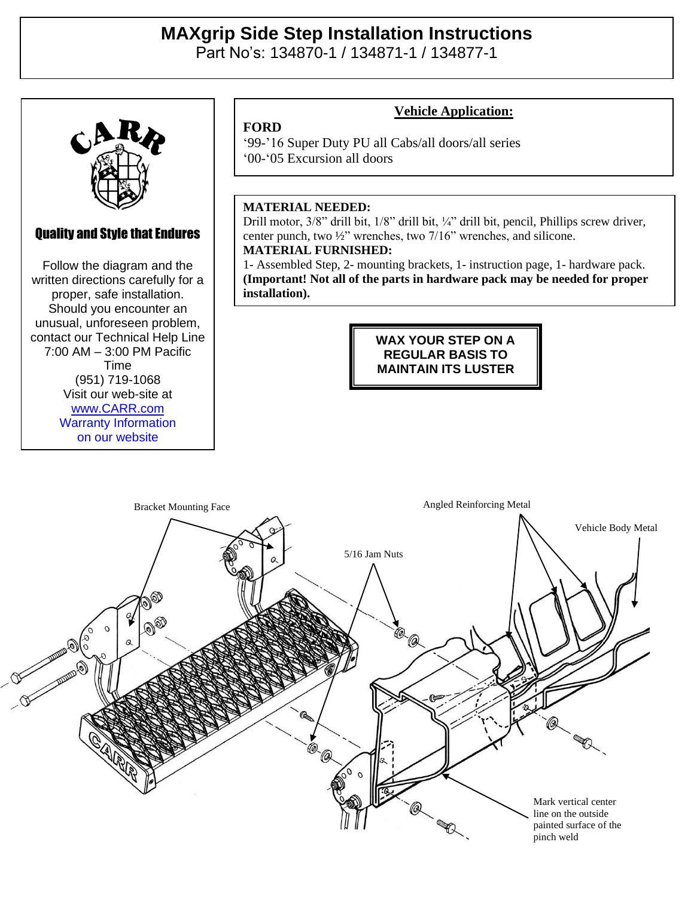# **MAXgrip Side Step Installation Instructions**

Part No's: 134870-1 / 134871-1 / 134877-1



## Quality and Style that Endures

Quality and Style that Endures Follow the diagram and the Follow the diagram and the written directions carefully for a written directions carefully for a proper, safe installation. proper, safe installation. Should you encounter an Should you encounter an unusual, unforeseen problem, unusual, unforeseen problem, contact our Technical Help Line contact our Technical Help Line  $100 \text{ AM} = 3:00 \text{ DM} \text{ Den}$  $(7:00 \text{ AM} - 3:00 \text{ PM} \text{ Pacific})$  $V = 10111$ (951) 719-1068 Visit our web-site at Time [www.CARR.com](http://www.carr.com/) Warranty Information on our website

Carr Pattern Co., Inc.

### **Vehicle Application:**

'99-'16 Super Duty PU all Cabs/all doors/all series '00-'05 Excursion all doors

#### **MATERIAL NEEDED:**

**FORD**

Drill motor, 3/8" drill bit, 1/8" drill bit, ¼" drill bit, pencil, Phillips screw driver, center punch, two ½" wrenches, two 7/16" wrenches, and silicone. **MATERIAL FURNISHED:**

1- Assembled Step, 2- mounting brackets, 1- instruction page, 1- hardware pack. **(Important! Not all of the parts in hardware pack may be needed for proper installation).**